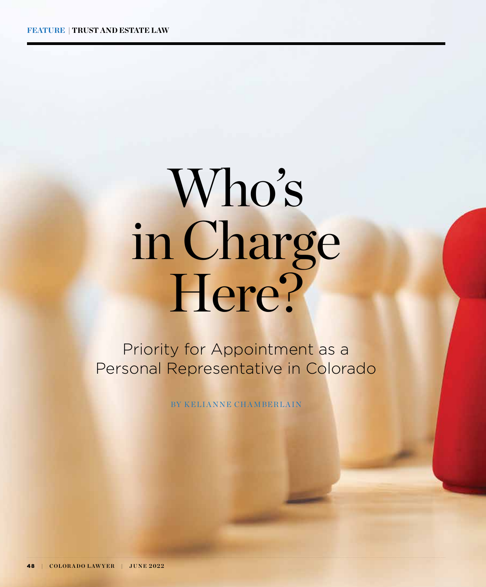# Who's in Charge Here?

Priority for Appointment as a Personal Representative in Colorado

BY KELIANNE CHAMBERLAIN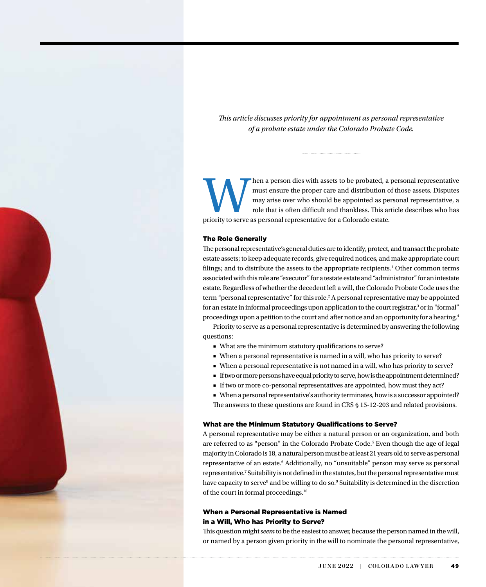*This article discusses priority for appointment as personal representative of a probate estate under the Colorado Probate Code.*

May arise over who should be appointed as personal representative may arise over who should be appointed as personal representative, a role that is often difficult and thankless. This article describes who has priority to must ensure the proper care and distribution of those assets. Disputes may arise over who should be appointed as personal representative, a role that is often difficult and thankless. This article describes who has

#### The Role Generally

The personal representative's general duties are to identify, protect, and transact the probate estate assets; to keep adequate records, give required notices, and make appropriate court filings; and to distribute the assets to the appropriate recipients.<sup>1</sup> Other common terms associated with this role are "executor" for a testate estate and "administrator" for an intestate estate. Regardless of whether the decedent left a will, the Colorado Probate Code uses the term "personal representative" for this role.<sup>2</sup> A personal representative may be appointed for an estate in informal proceedings upon application to the court registrar,<sup>3</sup> or in "formal" proceedings upon a petition to the court and after notice and an opportunity for a hearing.4

Priority to serve as a personal representative is determined by answering the following questions:

- What are the minimum statutory qualifications to serve?
- When a personal representative is named in a will, who has priority to serve?
- When a personal representative is not named in a will, who has priority to serve?
- If two or more persons have equal priority to serve, how is the appointment determined?
- If two or more co-personal representatives are appointed, how must they act?

■ When a personal representative's authority terminates, how is a successor appointed? The answers to these questions are found in CRS § 15-12-203 and related provisions.

#### What are the Minimum Statutory Qualifications to Serve?

A personal representative may be either a natural person or an organization, and both are referred to as "person" in the Colorado Probate Code.<sup>5</sup> Even though the age of legal majority in Colorado is 18, a natural person must be at least 21 years old to serve as personal representative of an estate.<sup>6</sup> Additionally, no "unsuitable" person may serve as personal representative.<sup>7</sup> Suitability is not defined in the statutes, but the personal representative must have capacity to serve<sup>8</sup> and be willing to do so.<sup>9</sup> Suitability is determined in the discretion of the court in formal proceedings.10

#### When a Personal Representative is Named in a Will, Who has Priority to Serve?

This question might *seem* to be the easiest to answer, because the person named in the will, or named by a person given priority in the will to nominate the personal representative,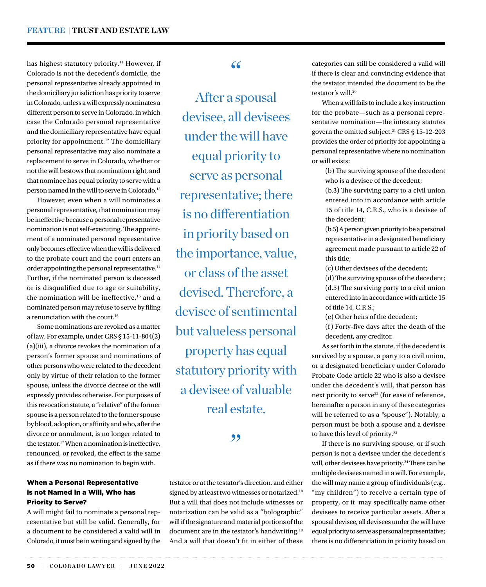has highest statutory priority.<sup>11</sup> However, if Colorado is not the decedent's domicile, the personal representative already appointed in the domiciliary jurisdiction has priority to serve in Colorado, unless a will expressly nominates a different person to serve in Colorado, in which case the Colorado personal representative and the domiciliary representative have equal priority for appointment.<sup>12</sup> The domiciliary personal representative may also nominate a replacement to serve in Colorado, whether or not the will bestows that nomination right, and that nominee has equal priority to serve with a person named in the will to serve in Colorado.13

However, even when a will nominates a personal representative, that nomination may be ineffective because a personal representative nomination is not self-executing. The appointment of a nominated personal representative only becomes effective when the will is delivered to the probate court and the court enters an order appointing the personal representative.14 Further, if the nominated person is deceased or is disqualified due to age or suitability, the nomination will be ineffective,<sup>15</sup> and a nominated person may refuse to serve by filing a renunciation with the court.<sup>16</sup>

Some nominations are revoked as a matter of law. For example, under CRS § 15-11-804(2) (a)(iii), a divorce revokes the nomination of a person's former spouse and nominations of other persons who were related to the decedent only by virtue of their relation to the former spouse, unless the divorce decree or the will expressly provides otherwise. For purposes of this revocation statute, a "relative" of the former spouse is a person related to the former spouse by blood, adoption, or affinity and who, after the divorce or annulment, is no longer related to the testator.17 When a nomination is ineffective, renounced, or revoked, the effect is the same as if there was no nomination to begin with.

#### When a Personal Representative is not Named in a Will, Who has Priority to Serve?

A will might fail to nominate a personal representative but still be valid. Generally, for a document to be considered a valid will in Colorado, it must be in writing and signed by the

#### $66$

After a spousal devisee, all devisees under the will have equal priority to serve as personal representative; there is no differentiation in priority based on the importance, value, or class of the asset devised. Therefore, a devisee of sentimental but valueless personal property has equal statutory priority with a devisee of valuable real estate.

#### ,,

testator or at the testator's direction, and either signed by at least two witnesses or notarized.<sup>18</sup> But a will that does not include witnesses or notarization can be valid as a "holographic" will if the signature and material portions of the document are in the testator's handwriting.19 And a will that doesn't fit in either of these

categories can still be considered a valid will if there is clear and convincing evidence that the testator intended the document to be the testator's will 20

When a will fails to include a key instruction for the probate—such as a personal representative nomination—the intestacy statutes govern the omitted subject.<sup>21</sup> CRS § 15-12-203 provides the order of priority for appointing a personal representative where no nomination or will exists:

> (b) The surviving spouse of the decedent who is a devisee of the decedent;

> (b.3) The surviving party to a civil union entered into in accordance with article 15 of title 14, C.R.S., who is a devisee of the decedent;

> (b.5) A person given priority to be a personal representative in a designated beneficiary agreement made pursuant to article 22 of this title;

(c) Other devisees of the decedent;

(d) The surviving spouse of the decedent; (d.5) The surviving party to a civil union entered into in accordance with article 15 of title 14, C.R.S.;

(e) Other heirs of the decedent;

(f) Forty-five days after the death of the decedent, any creditor.

As set forth in the statute, if the decedent is survived by a spouse, a party to a civil union, or a designated beneficiary under Colorado Probate Code article 22 who is also a devisee under the decedent's will, that person has next priority to serve<sup>22</sup> (for ease of reference, hereinafter a person in any of these categories will be referred to as a "spouse"). Notably, a person must be both a spouse and a devisee to have this level of priority.23

If there is no surviving spouse, or if such person is not a devisee under the decedent's will, other devisees have priority.<sup>24</sup> There can be multiple devisees named in a will. For example, the will may name a group of individuals (e.g., "my children") to receive a certain type of property, or it may specifically name other devisees to receive particular assets. After a spousal devisee, all devisees under the will have equal priority to serve as personal representative; there is no differentiation in priority based on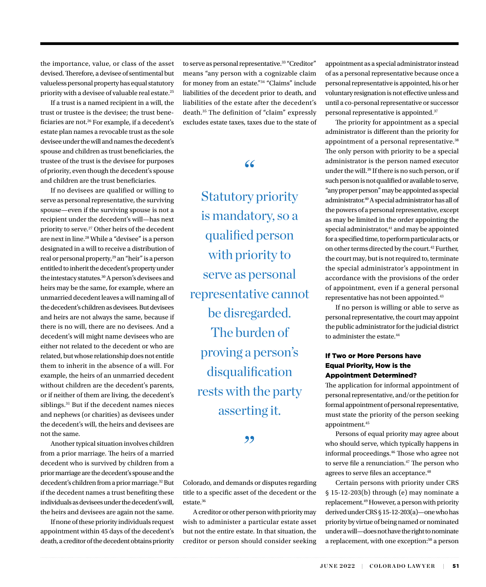the importance, value, or class of the asset devised. Therefore, a devisee of sentimental but valueless personal property has equal statutory priority with a devisee of valuable real estate.25

If a trust is a named recipient in a will, the trust or trustee is the devisee; the trust beneficiaries are not.<sup>26</sup> For example, if a decedent's estate plan names a revocable trust as the sole devisee under the will and names the decedent's spouse and children as trust beneficiaries, the trustee of the trust is the devisee for purposes of priority, even though the decedent's spouse and children are the trust beneficiaries.

If no devisees are qualified or willing to serve as personal representative, the surviving spouse—even if the surviving spouse is not a recipient under the decedent's will—has next priority to serve.27 Other heirs of the decedent are next in line.<sup>28</sup> While a "devisee" is a person designated in a will to receive a distribution of real or personal property,<sup>29</sup> an "heir" is a person entitled to inherit the decedent's property under the intestacy statutes.30 A person's devisees and heirs may be the same, for example, where an unmarried decedent leaves a will naming all of the decedent's children as devisees. But devisees and heirs are not always the same, because if there is no will, there are no devisees. And a decedent's will might name devisees who are either not related to the decedent or who are related, but whose relationship does not entitle them to inherit in the absence of a will. For example, the heirs of an unmarried decedent without children are the decedent's parents, or if neither of them are living, the decedent's siblings.<sup>31</sup> But if the decedent names nieces and nephews (or charities) as devisees under the decedent's will, the heirs and devisees are not the same.

Another typical situation involves children from a prior marriage. The heirs of a married decedent who is survived by children from a prior marriage are the decedent's spouse and the decedent's children from a prior marriage.32 But if the decedent names a trust benefiting these individuals as devisees under the decedent's will, the heirs and devisees are again not the same.

If none of these priority individuals request appointment within 45 days of the decedent's death, a creditor of the decedent obtains priority to serve as personal representative.<sup>33</sup> "Creditor" means "any person with a cognizable claim for money from an estate."34 "Claims" include liabilities of the decedent prior to death, and liabilities of the estate after the decedent's death.35 The definition of "claim" expressly excludes estate taxes, taxes due to the state of

"

Statutory priority is mandatory, so a qualified person with priority to serve as personal representative cannot be disregarded. The burden of proving a person's disqualification rests with the party asserting it.

,,

Colorado, and demands or disputes regarding title to a specific asset of the decedent or the estate.36

A creditor or other person with priority may wish to administer a particular estate asset but not the entire estate. In that situation, the creditor or person should consider seeking

appointment as a special administrator instead of as a personal representative because once a personal representative is appointed, his or her voluntary resignation is not effective unless and until a co-personal representative or successor personal representative is appointed.37

The priority for appointment as a special administrator is different than the priority for appointment of a personal representative.<sup>38</sup> The only person with priority to be a special administrator is the person named executor under the will.39 If there is no such person, or if such person is not qualified or available to serve, "any proper person" may be appointed as special administrator.40 A special administrator has all of the powers of a personal representative, except as may be limited in the order appointing the special administrator, $41$  and may be appointed for a specified time, to perform particular acts, or on other terms directed by the court.42 Further, the court may, but is not required to, terminate the special administrator's appointment in accordance with the provisions of the order of appointment, even if a general personal representative has not been appointed.43

If no person is willing or able to serve as personal representative, the court may appoint the public administrator for the judicial district to administer the estate.<sup>44</sup>

#### If Two or More Persons have Equal Priority, How is the Appointment Determined?

The application for informal appointment of personal representative, and/or the petition for formal appointment of personal representative, must state the priority of the person seeking appointment.45

Persons of equal priority may agree about who should serve, which typically happens in informal proceedings.46 Those who agree not to serve file a renunciation.<sup>47</sup> The person who agrees to serve files an acceptance.<sup>48</sup>

Certain persons with priority under CRS § 15-12-203(b) through (e) may nominate a replacement.<sup>49</sup> However, a person with priority derived under CRS § 15-12-203(a)—one who has priority by virtue of being named or nominated under a will—does not have the right to nominate a replacement, with one exception:<sup>50</sup> a person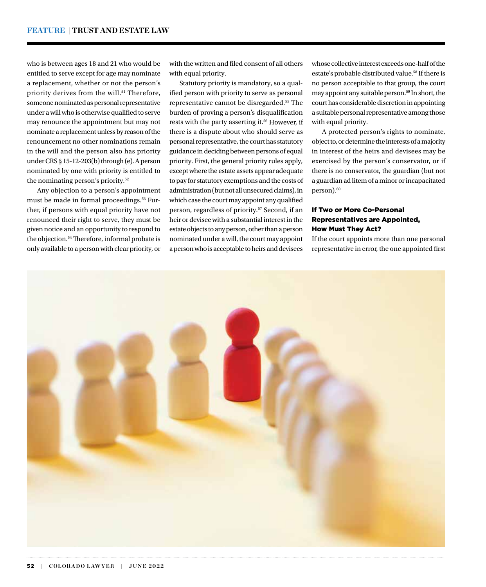who is between ages 18 and 21 who would be entitled to serve except for age may nominate a replacement, whether or not the person's priority derives from the will.<sup>51</sup> Therefore, someone nominated as personal representative under a will who is otherwise qualified to serve may renounce the appointment but may not nominate a replacement unless by reason of the renouncement no other nominations remain in the will and the person also has priority under CRS § 15-12-203(b) through (e). A person nominated by one with priority is entitled to the nominating person's priority.52

Any objection to a person's appointment must be made in formal proceedings.<sup>53</sup> Further, if persons with equal priority have not renounced their right to serve, they must be given notice and an opportunity to respond to the objection.<sup>54</sup> Therefore, informal probate is only available to a person with clear priority, or with the written and filed consent of all others with equal priority.

Statutory priority is mandatory, so a qualified person with priority to serve as personal representative cannot be disregarded.55 The burden of proving a person's disqualification rests with the party asserting it.<sup>56</sup> However, if there is a dispute about who should serve as personal representative, the court has statutory guidance in deciding between persons of equal priority. First, the general priority rules apply, except where the estate assets appear adequate to pay for statutory exemptions and the costs of administration (but not all unsecured claims), in which case the court may appoint any qualified person, regardless of priority.57 Second, if an heir or devisee with a substantial interest in the estate objects to any person, other than a person nominated under a will, the court may appoint a person who is acceptable to heirs and devisees

whose collective interest exceeds one-half of the estate's probable distributed value.<sup>58</sup> If there is no person acceptable to that group, the court may appoint any suitable person.59 In short, the court has considerable discretion in appointing a suitable personal representative among those with equal priority.

A protected person's rights to nominate, object to, or determine the interests of a majority in interest of the heirs and devisees may be exercised by the person's conservator, or if there is no conservator, the guardian (but not a guardian ad litem of a minor or incapacitated person).<sup>60</sup>

#### If Two or More Co-Personal Representatives are Appointed, How Must They Act?

If the court appoints more than one personal representative in error, the one appointed first

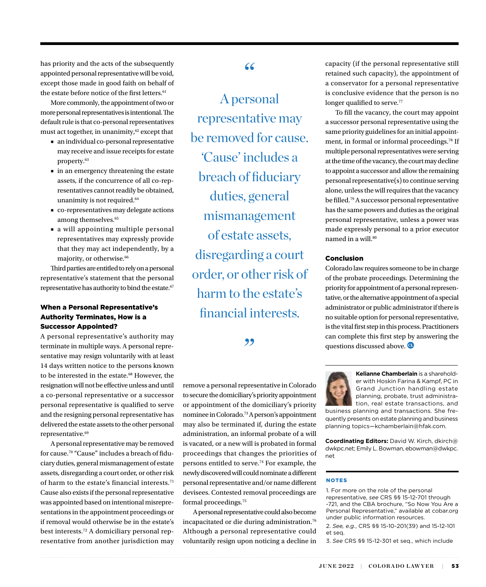has priority and the acts of the subsequently appointed personal representative will be void, except those made in good faith on behalf of the estate before notice of the first letters. $61$ 

More commonly, the appointment of two or more personal representatives is intentional. The default rule is that co-personal representatives must act together, in unanimity,<sup>62</sup> except that

- an individual co-personal representative may receive and issue receipts for estate property.63
- in an emergency threatening the estate assets, if the concurrence of all co-representatives cannot readily be obtained, unanimity is not required.<sup>64</sup>
- co-representatives may delegate actions among themselves.<sup>65</sup>
- a will appointing multiple personal representatives may expressly provide that they may act independently, by a majority, or otherwise.<sup>66</sup>

Third parties are entitled to rely on a personal representative's statement that the personal representative has authority to bind the estate.<sup>67</sup>

#### When a Personal Representative's Authority Terminates, How is a Successor Appointed?

A personal representative's authority may terminate in multiple ways. A personal representative may resign voluntarily with at least 14 days written notice to the persons known to be interested in the estate.<sup>68</sup> However, the resignation will not be effective unless and until a co-personal representative or a successor personal representative is qualified to serve and the resigning personal representative has delivered the estate assets to the other personal representative.<sup>69</sup>

A personal representative may be removed for cause.70 "Cause" includes a breach of fiduciary duties, general mismanagement of estate assets, disregarding a court order, or other risk of harm to the estate's financial interests.<sup>71</sup> Cause also exists if the personal representative was appointed based on intentional misrepresentations in the appointment proceedings or if removal would otherwise be in the estate's best interests.72 A domiciliary personal representative from another jurisdiction may

#### "

A personal representative may be removed for cause. 'Cause' includes a breach of fiduciary duties, general mismanagement of estate assets, disregarding a court order, or other risk of harm to the estate's financial interests.

#### "

remove a personal representative in Colorado to secure the domiciliary's priority appointment or appointment of the domiciliary's priority nominee in Colorado.73 A person's appointment may also be terminated if, during the estate administration, an informal probate of a will is vacated, or a new will is probated in formal proceedings that changes the priorities of persons entitled to serve.74 For example, the newly discovered will could nominate a different personal representative and/or name different devisees. Contested removal proceedings are formal proceedings.75

A personal representative could also become incapacitated or die during administration.76 Although a personal representative could voluntarily resign upon noticing a decline in

capacity (if the personal representative still retained such capacity), the appointment of a conservator for a personal representative is conclusive evidence that the person is no longer qualified to serve.<sup>77</sup>

To fill the vacancy, the court may appoint a successor personal representative using the same priority guidelines for an initial appointment, in formal or informal proceedings.78 If multiple personal representatives were serving at the time of the vacancy, the court may decline to appoint a successor and allow the remaining personal representative(s) to continue serving alone, unless the will requires that the vacancy be filled.79 A successor personal representative has the same powers and duties as the original personal representative, unless a power was made expressly personal to a prior executor named in a will.<sup>80</sup>

#### Conclusion

Colorado law requires someone to be in charge of the probate proceedings. Determining the priority for appointment of a personal representative, or the alternative appointment of a special administrator or public administrator if there is no suitable option for personal representative, is the vital first step in this process. Practitioners can complete this first step by answering the questions discussed above.



**Kelianne Chamberlain** is a shareholder with Hoskin Farina & Kampf, PC in Grand Junction handling estate planning, probate, trust administration, real estate transactions, and

business planning and transactions. She frequently presents on estate planning and business planning topics—kchamberlain@hfak.com.

**Coordinating Editors:** David W. Kirch, dkirch@ dwkpc.net; Emily L. Bowman, ebowman@dwkpc. net

#### NOTES

1. For more on the role of the personal representative, *see* CRS §§ 15-12-701 through -721, and the CBA brochure, "So Now You Are a Personal Representative," available at cobar.org under public information resources.

2. *See, e.g.*, CRS §§ 15-10-201(39) and 15-12-101 et seq.

3. *See* CRS §§ 15-12-301 et seq., which include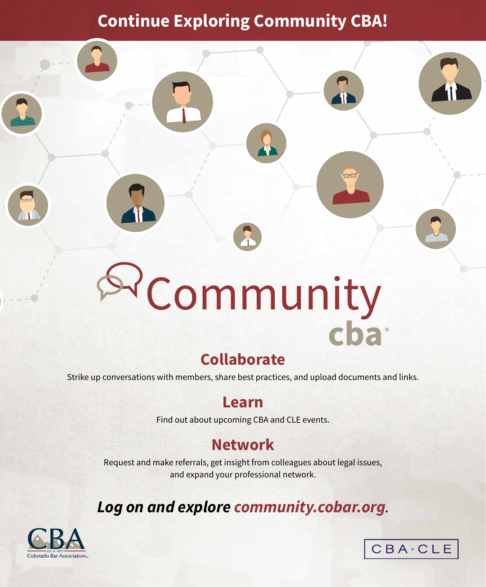# **Continue Exploring Community CBA!**

# Pcommunity<br>cha

# **Collaborate**

Strike up conversations with members, share best practices, and upload documents and links.

## **Learn**

Find out about upcoming CBA and CLE events.

### **Network**

Request and make referrals, get insight from colleagues about legal issues, and expand your professional network.

# **Log on and explore community.cobar.org**.